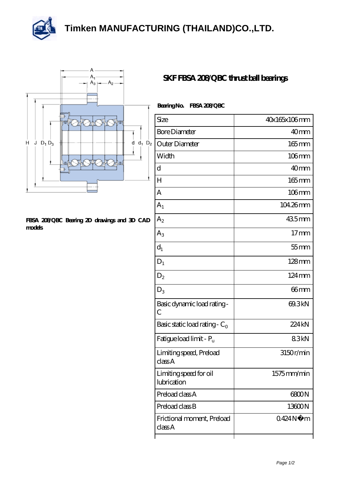



## **[FBSA 208/QBC Bearing 2D drawings and 3D CAD](https://m.thereclaimer.net/pic-65136442.html) [models](https://m.thereclaimer.net/pic-65136442.html)**

## **[SKF FBSA 208/QBC thrust ball bearings](https://m.thereclaimer.net/skf-fbsa-208-qbc-bearing/)**

| <b>Bearing No.</b> | FBSA 208QBC |
|--------------------|-------------|
|                    |             |

| Size                                  | 40x165x106mm        |
|---------------------------------------|---------------------|
| <b>Bore Diameter</b>                  | 40 <sub>mm</sub>    |
| Outer Diameter<br>2                   | $165$ mm            |
|                                       |                     |
| Width                                 | $106$ mm            |
| d                                     | 40mm                |
| H                                     | $165$ mm            |
| A                                     | $106$ mm            |
| A <sub>1</sub>                        | 104.26mm            |
| $A_2$                                 | 435mm               |
| $A_3$                                 | 17 <sub>mm</sub>    |
| $d_1$                                 | $55$ mm             |
| $D_1$                                 | $128 \text{mm}$     |
| $D_2$                                 | $124 \,\mathrm{mm}$ |
| $D_3$                                 | 66mm                |
| Basic dynamic load rating -<br>C      | 69.3kN              |
| Basic static load rating - $C_0$      | 224kN               |
| Fatigue load limit - P <sub>u</sub>   | 83kN                |
| Limiting speed, Preload<br>classA     | 3150r/min           |
| Limiting speed for oil<br>lubrication | 1575mm/min          |
| Preload class A                       | 6800N               |
| Preload class B                       | 13600N              |
| Frictional moment, Preload<br>classA  | 0424N<br>m          |
|                                       |                     |